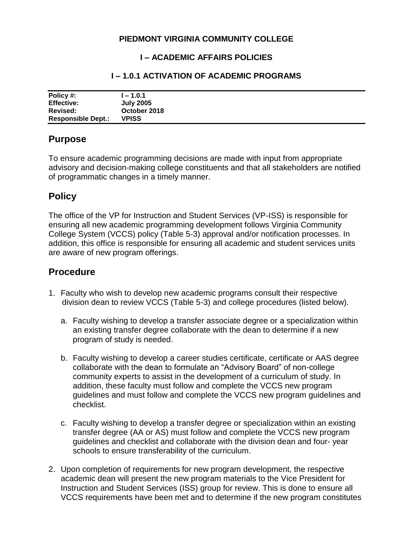### **PIEDMONT VIRGINIA COMMUNITY COLLEGE**

#### **I – ACADEMIC AFFAIRS POLICIES**

#### **I – 1.0.1 ACTIVATION OF ACADEMIC PROGRAMS**

| Policy #:                 | l – 1.0.1        |
|---------------------------|------------------|
| <b>Effective:</b>         | <b>July 2005</b> |
| Revised:                  | October 2018     |
| <b>Responsible Dept.:</b> | <b>VPISS</b>     |

## **Purpose**

To ensure academic programming decisions are made with input from appropriate advisory and decision-making college constituents and that all stakeholders are notified of programmatic changes in a timely manner.

# **Policy**

The office of the VP for Instruction and Student Services (VP-ISS) is responsible for ensuring all new academic programming development follows Virginia Community College System (VCCS) policy (Table 5-3) approval and/or notification processes. In addition, this office is responsible for ensuring all academic and student services units are aware of new program offerings.

## **Procedure**

- 1. Faculty who wish to develop new academic programs consult their respective division dean to review VCCS (Table 5-3) and college procedures (listed below).
	- a. Faculty wishing to develop a transfer associate degree or a specialization within an existing transfer degree collaborate with the dean to determine if a new program of study is needed.
	- b. Faculty wishing to develop a career studies certificate, certificate or AAS degree collaborate with the dean to formulate an "Advisory Board" of non-college community experts to assist in the development of a curriculum of study. In addition, these faculty must follow and complete the VCCS new program guidelines and must follow and complete the VCCS new program guidelines and checklist.
	- c. Faculty wishing to develop a transfer degree or specialization within an existing transfer degree (AA or AS) must follow and complete the VCCS new program guidelines and checklist and collaborate with the division dean and four- year schools to ensure transferability of the curriculum.
- 2. Upon completion of requirements for new program development, the respective academic dean will present the new program materials to the Vice President for Instruction and Student Services (ISS) group for review. This is done to ensure all VCCS requirements have been met and to determine if the new program constitutes